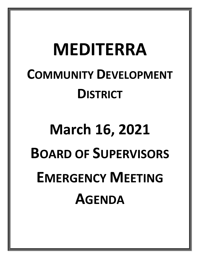## **MEDITERRA COMMUNITY DEVELOPMENT DISTRICT**

## **March 16, 2021 BOARD OF SUPERVISORS EMERGENCY MEETING AGENDA**